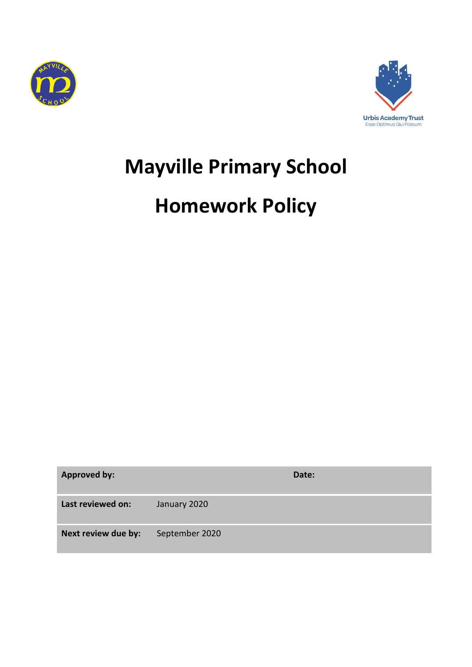



# **Mayville Primary School**

# **Homework Policy**

| <b>Approved by:</b> |                | Date: |
|---------------------|----------------|-------|
| Last reviewed on:   | January 2020   |       |
| Next review due by: | September 2020 |       |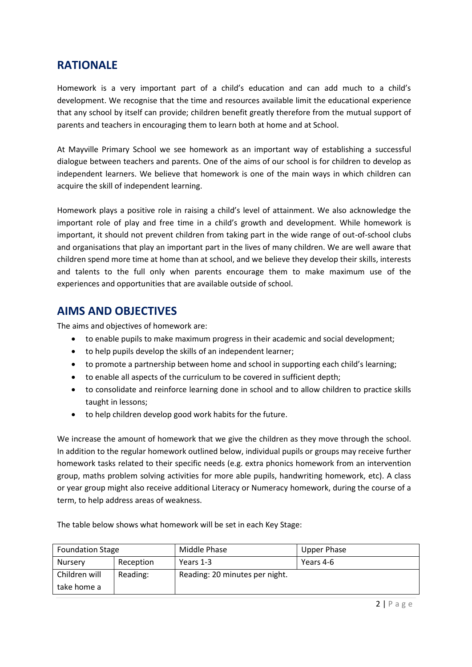### **RATIONALE**

Homework is a very important part of a child's education and can add much to a child's development. We recognise that the time and resources available limit the educational experience that any school by itself can provide; children benefit greatly therefore from the mutual support of parents and teachers in encouraging them to learn both at home and at School.

At Mayville Primary School we see homework as an important way of establishing a successful dialogue between teachers and parents. One of the aims of our school is for children to develop as independent learners. We believe that homework is one of the main ways in which children can acquire the skill of independent learning.

Homework plays a positive role in raising a child's level of attainment. We also acknowledge the important role of play and free time in a child's growth and development. While homework is important, it should not prevent children from taking part in the wide range of out-of-school clubs and organisations that play an important part in the lives of many children. We are well aware that children spend more time at home than at school, and we believe they develop their skills, interests and talents to the full only when parents encourage them to make maximum use of the experiences and opportunities that are available outside of school.

#### **AIMS AND OBJECTIVES**

The aims and objectives of homework are:

- to enable pupils to make maximum progress in their academic and social development;
- to help pupils develop the skills of an independent learner;
- to promote a partnership between home and school in supporting each child's learning;
- to enable all aspects of the curriculum to be covered in sufficient depth;
- to consolidate and reinforce learning done in school and to allow children to practice skills taught in lessons;
- to help children develop good work habits for the future.

We increase the amount of homework that we give the children as they move through the school. In addition to the regular homework outlined below, individual pupils or groups may receive further homework tasks related to their specific needs (e.g. extra phonics homework from an intervention group, maths problem solving activities for more able pupils, handwriting homework, etc). A class or year group might also receive additional Literacy or Numeracy homework, during the course of a term, to help address areas of weakness.

| <b>Foundation Stage</b> |           | Middle Phase                   | <b>Upper Phase</b> |
|-------------------------|-----------|--------------------------------|--------------------|
| <b>Nursery</b>          | Reception | Years 1-3                      | Years 4-6          |
| Children will           | Reading:  | Reading: 20 minutes per night. |                    |
| take home a             |           |                                |                    |

The table below shows what homework will be set in each Key Stage: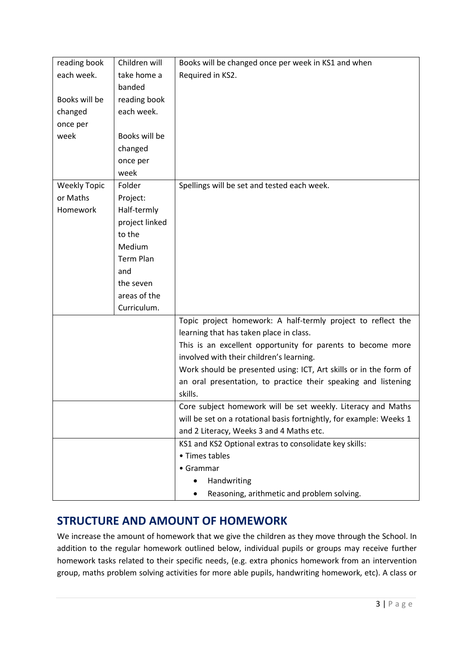| reading book        | Children will    | Books will be changed once per week in KS1 and when                 |
|---------------------|------------------|---------------------------------------------------------------------|
| each week.          | take home a      | Required in KS2.                                                    |
|                     | banded           |                                                                     |
| Books will be       | reading book     |                                                                     |
| changed             | each week.       |                                                                     |
| once per            |                  |                                                                     |
| week                | Books will be    |                                                                     |
|                     | changed          |                                                                     |
|                     | once per         |                                                                     |
|                     | week             |                                                                     |
| <b>Weekly Topic</b> | Folder           | Spellings will be set and tested each week.                         |
| or Maths            | Project:         |                                                                     |
| <b>Homework</b>     | Half-termly      |                                                                     |
|                     | project linked   |                                                                     |
|                     | to the           |                                                                     |
|                     | Medium           |                                                                     |
|                     | <b>Term Plan</b> |                                                                     |
|                     | and              |                                                                     |
|                     | the seven        |                                                                     |
|                     | areas of the     |                                                                     |
|                     | Curriculum.      |                                                                     |
|                     |                  | Topic project homework: A half-termly project to reflect the        |
|                     |                  | learning that has taken place in class.                             |
|                     |                  | This is an excellent opportunity for parents to become more         |
|                     |                  | involved with their children's learning.                            |
|                     |                  | Work should be presented using: ICT, Art skills or in the form of   |
|                     |                  | an oral presentation, to practice their speaking and listening      |
|                     |                  | skills.                                                             |
|                     |                  | Core subject homework will be set weekly. Literacy and Maths        |
|                     |                  | will be set on a rotational basis fortnightly, for example: Weeks 1 |
|                     |                  | and 2 Literacy, Weeks 3 and 4 Maths etc.                            |
|                     |                  | KS1 and KS2 Optional extras to consolidate key skills:              |
|                     |                  | • Times tables                                                      |
|                     |                  | • Grammar                                                           |
|                     |                  | Handwriting                                                         |
|                     |                  | Reasoning, arithmetic and problem solving.                          |

# **STRUCTURE AND AMOUNT OF HOMEWORK**

We increase the amount of homework that we give the children as they move through the School. In addition to the regular homework outlined below, individual pupils or groups may receive further homework tasks related to their specific needs, (e.g. extra phonics homework from an intervention group, maths problem solving activities for more able pupils, handwriting homework, etc). A class or